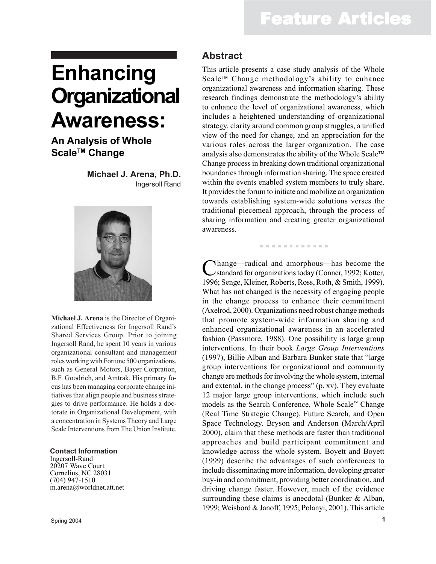# **Enhancing Organizational Awareness:**

### **An Analysis of Whole** Scale<sup>™</sup> Change

**Michael J. Arena, Ph.D.** Ingersoll Rand



**Michael J. Arena** is the Director of Organizational Effectiveness for Ingersoll Rand's Shared Services Group. Prior to joining Ingersoll Rand, he spent 10 years in various organizational consultant and management roles working with Fortune 500 organizations, such as General Motors, Bayer Corpration, B.F. Goodrich, and Amtrak. His primary focus has been managing corporate change initiatives that align people and business strategies to drive performance. He holds a doctorate in Organizational Development, with a concentration in Systems Theory and Large Scale Interventions from The Union Institute.

#### **Contact Information**

Ingersoll-Rand 20207 Wave Court Cornelius, NC 28031 (704) 947-1510 m.arena@worldnet.att.net

Spring 2004

#### **Abstract**

This article presents a case study analysis of the Whole Scale<sup>™</sup> Change methodology's ability to enhance organizational awareness and information sharing. These research findings demonstrate the methodology's ability to enhance the level of organizational awareness, which includes a heightened understanding of organizational strategy, clarity around common group struggles, a unified view of the need for change, and an appreciation for the various roles across the larger organization. The case analysis also demonstrates the ability of the Whole Scale Change process in breaking down traditional organizational boundaries through information sharing. The space created within the events enabled system members to truly share. It provides the forum to initiate and mobilize an organization towards establishing system-wide solutions verses the traditional piecemeal approach, through the process of sharing information and creating greater organizational awareness.

. . . . . . . . . . . .

Change—radical and amorphous—has become the standard for organizations today (Conner, 1992; Kotter, 1996; Senge, Kleiner, Roberts, Ross, Roth, & Smith, 1999). What has not changed is the necessity of engaging people in the change process to enhance their commitment (Axelrod, 2000). Organizations need robust change methods that promote system-wide information sharing and enhanced organizational awareness in an accelerated fashion (Passmore, 1988). One possibility is large group interventions. In their book *Large Group Interventions* (1997), Billie Alban and Barbara Bunker state that "large group interventions for organizational and community change are methods for involving the whole system, internal and external, in the change process" (p. xv). They evaluate 12 major large group interventions, which include such models as the Search Conference, Whole Scale™ Change (Real Time Strategic Change), Future Search, and Open Space Technology. Bryson and Anderson (March/April 2000), claim that these methods are faster than traditional approaches and build participant commitment and knowledge across the whole system. Boyett and Boyett (1999) describe the advantages of such conferences to include disseminating more information, developing greater buy-in and commitment, providing better coordination, and driving change faster. However, much of the evidence surrounding these claims is anecdotal (Bunker & Alban, 1999; Weisbord & Janoff, 1995; Polanyi, 2001). This article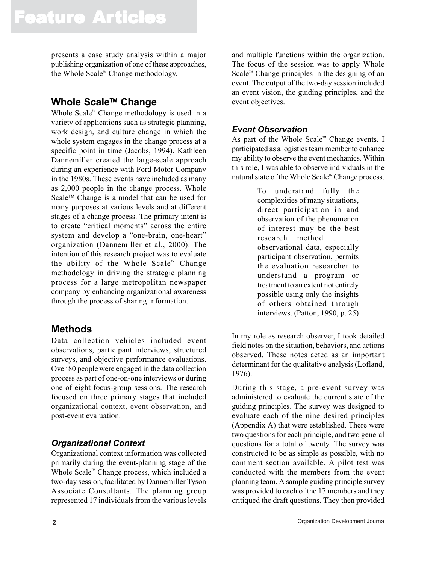presents a case study analysis within a major publishing organization of one of these approaches, the Whole Scale<sup> $M$ </sup> Change methodology.

### **Whole Scale Change**

Whole Scale<sup> $M$ </sup> Change methodology is used in a variety of applications such as strategic planning, work design, and culture change in which the whole system engages in the change process at a specific point in time (Jacobs, 1994). Kathleen Dannemiller created the large-scale approach during an experience with Ford Motor Company in the 1980s. These events have included as many as 2,000 people in the change process. Whole Scale<sup>™</sup> Change is a model that can be used for many purposes at various levels and at different stages of a change process. The primary intent is to create "critical moments" across the entire system and develop a "one-brain, one-heart" organization (Dannemiller et al., 2000). The intention of this research project was to evaluate the ability of the Whole Scale<sup> $M$ </sup> Change methodology in driving the strategic planning process for a large metropolitan newspaper company by enhancing organizational awareness through the process of sharing information.

#### **Methods**

Data collection vehicles included event observations, participant interviews, structured surveys, and objective performance evaluations. Over 80 people were engaged in the data collection process as part of one-on-one interviews or during one of eight focus-group sessions. The research focused on three primary stages that included organizational context, event observation, and post-event evaluation.

#### *Organizational Context*

Organizational context information was collected primarily during the event-planning stage of the Whole Scale<sup> $\mathbb{R}$ </sup> Change process, which included a two-day session, facilitated by Dannemiller Tyson Associate Consultants. The planning group represented 17 individuals from the various levels

and multiple functions within the organization. The focus of the session was to apply Whole Scale<sup> $<sup>m</sup>$ </sup> Change principles in the designing of an</sup> event. The output of the two-day session included an event vision, the guiding principles, and the event objectives.

#### *Event Observation*

As part of the Whole Scale<sup> $M$ </sup> Change events, I participated as a logistics team member to enhance my ability to observe the event mechanics. Within this role, I was able to observe individuals in the natural state of the Whole Scale™ Change process.

> To understand fully the complexities of many situations, direct participation in and observation of the phenomenon of interest may be the best research method . . . observational data, especially participant observation, permits the evaluation researcher to understand a program or treatment to an extent not entirely possible using only the insights of others obtained through interviews. (Patton, 1990, p. 25)

In my role as research observer, I took detailed field notes on the situation, behaviors, and actions observed. These notes acted as an important determinant for the qualitative analysis (Lofland, 1976).

During this stage, a pre-event survey was administered to evaluate the current state of the guiding principles. The survey was designed to evaluate each of the nine desired principles (Appendix A) that were established. There were two questions for each principle, and two general questions for a total of twenty. The survey was constructed to be as simple as possible, with no comment section available. A pilot test was conducted with the members from the event planning team. A sample guiding principle survey was provided to each of the 17 members and they critiqued the draft questions. They then provided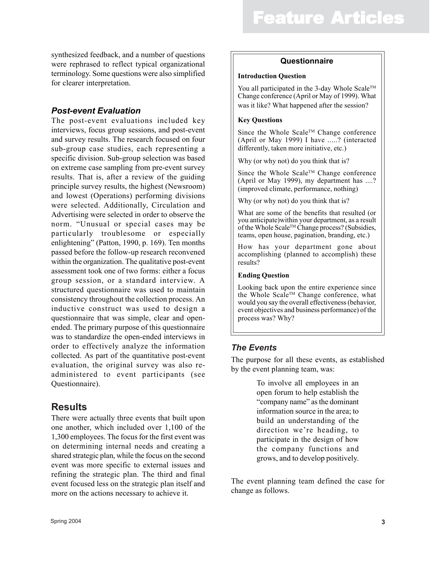synthesized feedback, and a number of questions were rephrased to reflect typical organizational terminology. Some questions were also simplified for clearer interpretation.

#### *Post-event Evaluation*

The post-event evaluations included key interviews, focus group sessions, and post-event and survey results. The research focused on four sub-group case studies, each representing a specific division. Sub-group selection was based on extreme case sampling from pre-event survey results. That is, after a review of the guiding principle survey results, the highest (Newsroom) and lowest (Operations) performing divisions were selected. Additionally, Circulation and Advertising were selected in order to observe the norm. "Unusual or special cases may be particularly troublesome or especially enlightening" (Patton, 1990, p. 169). Ten months passed before the follow-up research reconvened within the organization. The qualitative post-event assessment took one of two forms: either a focus group session, or a standard interview. A structured questionnaire was used to maintain consistency throughout the collection process. An inductive construct was used to design a questionnaire that was simple, clear and openended. The primary purpose of this questionnaire was to standardize the open-ended interviews in order to effectively analyze the information collected. As part of the quantitative post-event evaluation, the original survey was also readministered to event participants (see Questionnaire).

#### **Results**

There were actually three events that built upon one another, which included over 1,100 of the 1,300 employees. The focus for the first event was on determining internal needs and creating a shared strategic plan, while the focus on the second event was more specific to external issues and refining the strategic plan. The third and final event focused less on the strategic plan itself and more on the actions necessary to achieve it.

#### **Questionnaire**

#### **Introduction Question**

You all participated in the 3-day Whole Scale<sup>TM</sup> Change conference (April or May of 1999). What was it like? What happened after the session?

#### **Key Questions**

Since the Whole Scale™ Change conference (April or May 1999) I have .....? (interacted differently, taken more initiative, etc.)

Why (or why not) do you think that is?

Since the Whole Scale™ Change conference (April or May 1999), my department has ....? (improved climate, performance, nothing)

Why (or why not) do you think that is?

What are some of the benefits that resulted (or you anticipate)within your department, as a result of the Whole Scale™ Change process? (Subsidies, teams, open house, pagination, branding, etc.)

How has your department gone about accomplishing (planned to accomplish) these results?

#### **Ending Question**

Looking back upon the entire experience since the Whole ScaleTM Change conference, what would you say the overall effectiveness (behavior, event objectives and business performance) of the process was? Why?

#### *The Events*

The purpose for all these events, as established by the event planning team, was:

> To involve all employees in an open forum to help establish the "company name" as the dominant information source in the area; to build an understanding of the direction we're heading, to participate in the design of how the company functions and grows, and to develop positively.

The event planning team defined the case for change as follows.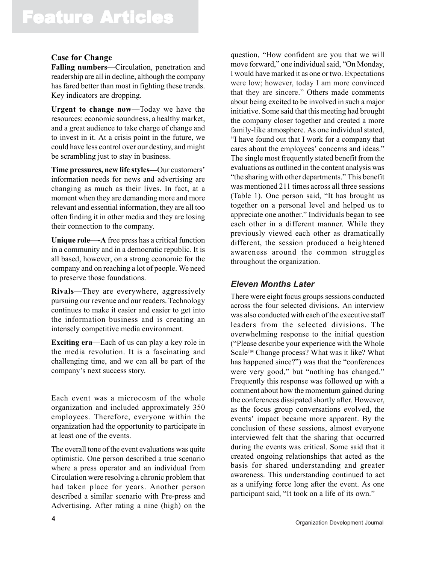#### **Case for Change**

**Falling numbers—**Circulation, penetration and readership are all in decline, although the company has fared better than most in fighting these trends. Key indicators are dropping.

**Urgent to change now—**Today we have the resources: economic soundness, a healthy market, and a great audience to take charge of change and to invest in it. At a crisis point in the future, we could have less control over our destiny, and might be scrambling just to stay in business.

**Time pressures, new life styles—**Our customers' information needs for news and advertising are changing as much as their lives. In fact, at a moment when they are demanding more and more relevant and essential information, they are all too often finding it in other media and they are losing their connection to the company.

**Unique role—-A** free press has a critical function in a community and in a democratic republic. It is all based, however, on a strong economic for the company and on reaching a lot of people. We need to preserve those foundations.

**Rivals—**They are everywhere, aggressively pursuing our revenue and our readers. Technology continues to make it easier and easier to get into the information business and is creating an intensely competitive media environment.

**Exciting era**—Each of us can play a key role in the media revolution. It is a fascinating and challenging time, and we can all be part of the company's next success story.

Each event was a microcosm of the whole organization and included approximately 350 employees. Therefore, everyone within the organization had the opportunity to participate in at least one of the events.

The overall tone of the event evaluations was quite optimistic. One person described a true scenario where a press operator and an individual from Circulation were resolving a chronic problem that had taken place for years. Another person described a similar scenario with Pre-press and Advertising. After rating a nine (high) on the

question, "How confident are you that we will move forward," one individual said, "On Monday, I would have marked it as one or two. Expectations were low; however, today I am more convinced that they are sincere." Others made comments about being excited to be involved in such a major initiative. Some said that this meeting had brought the company closer together and created a more family-like atmosphere. As one individual stated, "I have found out that I work for a company that cares about the employees' concerns and ideas." The single most frequently stated benefit from the evaluations as outlined in the content analysis was "the sharing with other departments." This benefit was mentioned 211 times across all three sessions (Table 1). One person said, "It has brought us together on a personal level and helped us to appreciate one another." Individuals began to see each other in a different manner. While they previously viewed each other as dramatically different, the session produced a heightened awareness around the common struggles throughout the organization.

#### *Eleven Months Later*

There were eight focus groups sessions conducted across the four selected divisions. An interview was also conducted with each of the executive staff leaders from the selected divisions. The overwhelming response to the initial question ("Please describe your experience with the Whole Scale™ Change process? What was it like? What has happened since?") was that the "conferences were very good," but "nothing has changed." Frequently this response was followed up with a comment about how the momentum gained during the conferences dissipated shortly after. However, as the focus group conversations evolved, the events' impact became more apparent. By the conclusion of these sessions, almost everyone interviewed felt that the sharing that occurred during the events was critical. Some said that it created ongoing relationships that acted as the basis for shared understanding and greater awareness. This understanding continued to act as a unifying force long after the event. As one participant said, "It took on a life of its own."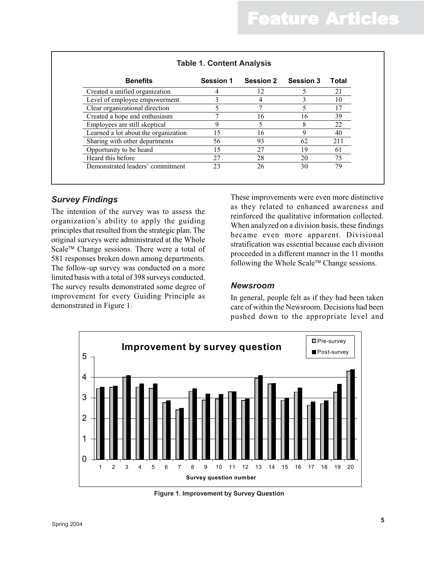| <b>Benefits</b>                      | Session 1 | <b>Session 2</b> | <b>Session 3</b> | Total |
|--------------------------------------|-----------|------------------|------------------|-------|
| Created a unified organization       |           | 12               |                  | 21    |
| Level of employee empowerment        |           |                  |                  | 10    |
| Clear organizational direction       |           |                  |                  | 17    |
| Created a hope and enthusiasm        |           | 16               | 16               | 39    |
| Employees are still skeptical        | 9         |                  | 8                | 22    |
| Learned a lot about the organization | 15        | 16               | 9                | 40    |
| Sharing with other departments       | 56        | 93               | 62               | 211   |
| Opportunity to be heard              | 15        | 27               | 19               | 61    |
| Heard this before                    | 27        | 28               | 20               | 75    |
| Demonstrated leaders' commitment     | 23        | 26               | 30               | 79    |

#### *Survey Findings*

The intention of the survey was to assess the organization's ability to apply the guiding principles that resulted from the strategic plan. The original surveys were administrated at the Whole Scale™ Change sessions. There were a total of 581 responses broken down among departments. The follow-up survey was conducted on a more limited basis with a total of 398 surveys conducted. The survey results demonstrated some degree of improvement for every Guiding Principle as demonstrated in Figure 1.

These improvements were even more distinctive as they related to enhanced awareness and reinforced the qualitative information collected. When analyzed on a division basis, these findings became even more apparent. Divisional stratification was essential because each division proceeded in a different manner in the 11 months following the Whole Scale<sup> $TM$ </sup> Change sessions.

#### *Newsroom*

In general, people felt as if they had been taken care of within the Newsroom. Decisions had been pushed down to the appropriate level and



**Figure 1. Improvement by Survey Question**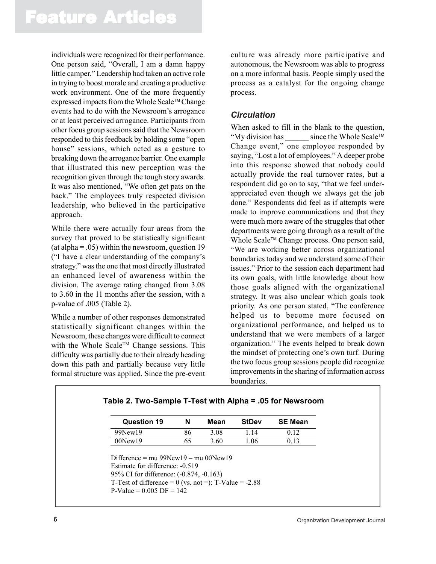individuals were recognized for their performance. One person said, "Overall, I am a damn happy little camper." Leadership had taken an active role in trying to boost morale and creating a productive work environment. One of the more frequently expressed impacts from the Whole Scale™ Change events had to do with the Newsroom's arrogance or at least perceived arrogance. Participants from other focus group sessions said that the Newsroom responded to this feedback by holding some "open house" sessions, which acted as a gesture to breaking down the arrogance barrier. One example that illustrated this new perception was the recognition given through the tough story awards. It was also mentioned, "We often get pats on the back." The employees truly respected division leadership, who believed in the participative approach.

While there were actually four areas from the survey that proved to be statistically significant (at alpha  $=$  .05) within the newsroom, question 19 ("I have a clear understanding of the company's strategy." was the one that most directly illustrated an enhanced level of awareness within the division. The average rating changed from 3.08 to 3.60 in the 11 months after the session, with a p-value of .005 (Table 2).

While a number of other responses demonstrated statistically significant changes within the Newsroom, these changes were difficult to connect with the Whole Scale<sup>TM</sup> Change sessions. This difficulty was partially due to their already heading down this path and partially because very little formal structure was applied. Since the pre-event

culture was already more participative and autonomous, the Newsroom was able to progress on a more informal basis. People simply used the process as a catalyst for the ongoing change process.

#### *Circulation*

When asked to fill in the blank to the question, "My division has since the Whole Scale™ Change event," one employee responded by saying, "Lost a lot of employees." A deeper probe into this response showed that nobody could actually provide the real turnover rates, but a respondent did go on to say, "that we feel underappreciated even though we always get the job done." Respondents did feel as if attempts were made to improve communications and that they were much more aware of the struggles that other departments were going through as a result of the Whole Scale<sup>™</sup> Change process. One person said, "We are working better across organizational boundaries today and we understand some of their issues." Prior to the session each department had its own goals, with little knowledge about how those goals aligned with the organizational strategy. It was also unclear which goals took priority. As one person stated, "The conference helped us to become more focused on organizational performance, and helped us to understand that we were members of a larger organization." The events helped to break down the mindset of protecting one's own turf. During the two focus group sessions people did recognize improvements in the sharing of information across boundaries.

| <b>Question 19</b>                                                                                                                                                                | N  | Mean | <b>StDev</b> | <b>SE Mean</b> |
|-----------------------------------------------------------------------------------------------------------------------------------------------------------------------------------|----|------|--------------|----------------|
| 99New19                                                                                                                                                                           | 86 | 3.08 | 1.14         | 0.12           |
| $00$ New $19$                                                                                                                                                                     | 65 | 3.60 | 1.06         | 0.13           |
| Difference = $mu\ 99New19 - mu\ 00New19$<br>Estimate for difference: -0.519<br>95% CI for difference: (-0.874, -0.163)<br>T-Test of difference = $0$ (vs. not =): T-Value = -2.88 |    |      |              |                |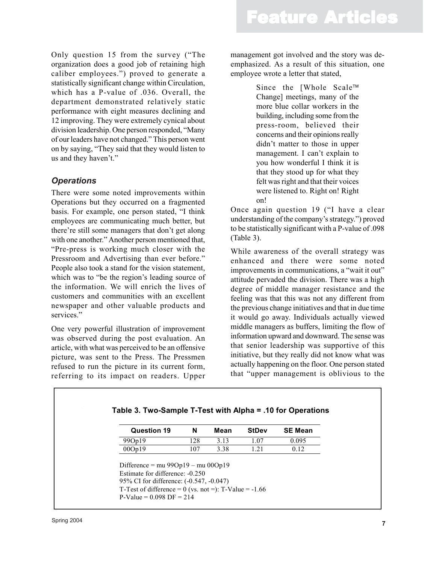Only question 15 from the survey ("The organization does a good job of retaining high caliber employees.") proved to generate a statistically significant change within Circulation, which has a P-value of .036. Overall, the department demonstrated relatively static performance with eight measures declining and 12 improving. They were extremely cynical about division leadership. One person responded, "Many of our leaders have not changed." This person went on by saying, "They said that they would listen to us and they haven't."

#### *Operations*

There were some noted improvements within Operations but they occurred on a fragmented basis. For example, one person stated, "I think employees are communicating much better, but there're still some managers that don't get along with one another." Another person mentioned that, "Pre-press is working much closer with the Pressroom and Advertising than ever before." People also took a stand for the vision statement, which was to "be the region's leading source of the information. We will enrich the lives of customers and communities with an excellent newspaper and other valuable products and services."

One very powerful illustration of improvement was observed during the post evaluation. An article, with what was perceived to be an offensive picture, was sent to the Press. The Pressmen refused to run the picture in its current form, referring to its impact on readers. Upper management got involved and the story was deemphasized. As a result of this situation, one employee wrote a letter that stated,

> Since the [Whole Scale™ Change] meetings, many of the more blue collar workers in the building, including some from the press-room, believed their concerns and their opinions really didn't matter to those in upper management. I can't explain to you how wonderful I think it is that they stood up for what they felt was right and that their voices were listened to. Right on! Right on!

Once again question 19 ("I have a clear understanding of the company's strategy.") proved to be statistically significant with a P-value of .098 (Table 3).

While awareness of the overall strategy was enhanced and there were some noted improvements in communications, a "wait it out" attitude pervaded the division. There was a high degree of middle manager resistance and the feeling was that this was not any different from the previous change initiatives and that in due time it would go away. Individuals actually viewed middle managers as buffers, limiting the flow of information upward and downward. The sense was that senior leadership was supportive of this initiative, but they really did not know what was actually happening on the floor. One person stated that "upper management is oblivious to the

| 128<br>3.13 |                                      |       |
|-------------|--------------------------------------|-------|
|             | 1.07                                 | 0.095 |
| 3.38<br>107 | 1.21                                 | 0.12  |
|             | Difference = mu $99Op19 - mu 00Op19$ |       |

Г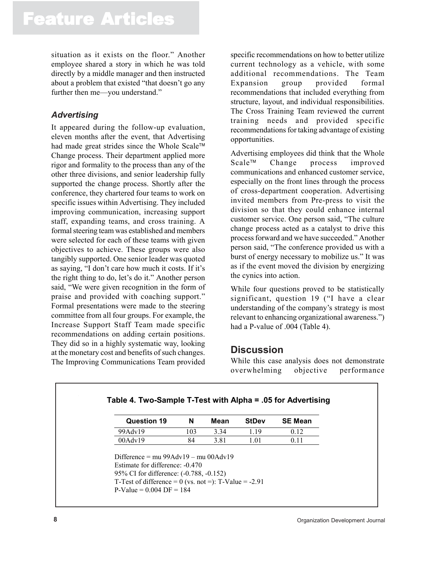situation as it exists on the floor." Another employee shared a story in which he was told directly by a middle manager and then instructed about a problem that existed "that doesn't go any further then me—you understand."

#### *Advertising*

It appeared during the follow-up evaluation, eleven months after the event, that Advertising had made great strides since the Whole Scale™ Change process. Their department applied more rigor and formality to the process than any of the other three divisions, and senior leadership fully supported the change process. Shortly after the conference, they chartered four teams to work on specific issues within Advertising. They included improving communication, increasing support staff, expanding teams, and cross training. A formal steering team was established and members were selected for each of these teams with given objectives to achieve. These groups were also tangibly supported. One senior leader was quoted as saying, "I don't care how much it costs. If it's the right thing to do, let's do it." Another person said, "We were given recognition in the form of praise and provided with coaching support." Formal presentations were made to the steering committee from all four groups. For example, the Increase Support Staff Team made specific recommendations on adding certain positions. They did so in a highly systematic way, looking at the monetary cost and benefits of such changes. The Improving Communications Team provided

specific recommendations on how to better utilize current technology as a vehicle, with some additional recommendations. The Team Expansion group provided formal recommendations that included everything from structure, layout, and individual responsibilities. The Cross Training Team reviewed the current training needs and provided specific recommendations for taking advantage of existing opportunities.

Advertising employees did think that the Whole Scale<sup>™</sup> Change process improved communications and enhanced customer service, especially on the front lines through the process of cross-department cooperation. Advertising invited members from Pre-press to visit the division so that they could enhance internal customer service. One person said, "The culture change process acted as a catalyst to drive this process forward and we have succeeded." Another person said, "The conference provided us with a burst of energy necessary to mobilize us." It was as if the event moved the division by energizing the cynics into action.

While four questions proved to be statistically significant, question 19 ("I have a clear understanding of the company's strategy is most relevant to enhancing organizational awareness.") had a P-value of .004 (Table 4).

#### **Discussion**

While this case analysis does not demonstrate overwhelming objective performance

| <b>Question 19</b>                                                                                                                                                                              | N   | Mean | <b>StDev</b> | <b>SE Mean</b> |
|-------------------------------------------------------------------------------------------------------------------------------------------------------------------------------------------------|-----|------|--------------|----------------|
| 99Adv19                                                                                                                                                                                         | 103 | 3.34 | 1.19         | 0.12           |
| $00$ Adv $19$                                                                                                                                                                                   | 84  | 3.81 | 1.01         | 0.11           |
| Difference = $mu\ 99\text{Adv}19 - mu\ 00\text{Adv}19$<br>Estimate for difference: -0.470<br>95% CI for difference: (-0.788, -0.152)<br>T-Test of difference = $0$ (vs. not =): T-Value = -2.91 |     |      |              |                |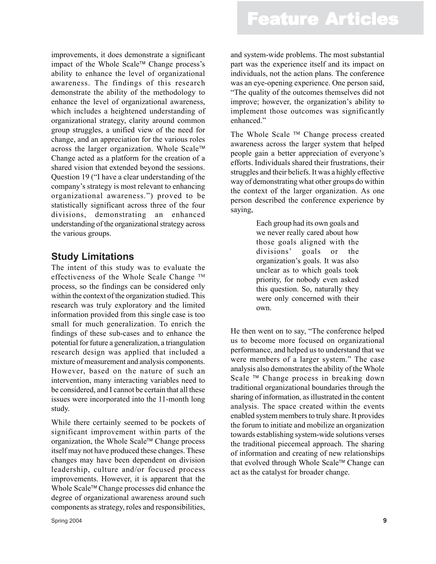improvements, it does demonstrate a significant impact of the Whole Scale<sup> $TM$ </sup> Change process's ability to enhance the level of organizational awareness. The findings of this research demonstrate the ability of the methodology to enhance the level of organizational awareness, which includes a heightened understanding of organizational strategy, clarity around common group struggles, a unified view of the need for change, and an appreciation for the various roles across the larger organization. Whole Scale Change acted as a platform for the creation of a shared vision that extended beyond the sessions. Question 19 ("I have a clear understanding of the company's strategy is most relevant to enhancing organizational awareness.") proved to be statistically significant across three of the four divisions, demonstrating an enhanced understanding of the organizational strategy across the various groups.

#### **Study Limitations**

The intent of this study was to evaluate the effectiveness of the Whole Scale Change TM process, so the findings can be considered only within the context of the organization studied. This research was truly exploratory and the limited information provided from this single case is too small for much generalization. To enrich the findings of these sub-cases and to enhance the potential for future a generalization, a triangulation research design was applied that included a mixture of measurement and analysis components. However, based on the nature of such an intervention, many interacting variables need to be considered, and I cannot be certain that all these issues were incorporated into the 11-month long study.

While there certainly seemed to be pockets of significant improvement within parts of the organization, the Whole Scale<sup> $\mathsf{TM}$ </sup> Change process itself may not have produced these changes. These changes may have been dependent on division leadership, culture and/or focused process improvements. However, it is apparent that the Whole Scale™ Change processes did enhance the degree of organizational awareness around such components as strategy, roles and responsibilities,

Spring 2004 **9**

and system-wide problems. The most substantial part was the experience itself and its impact on individuals, not the action plans. The conference was an eye-opening experience. One person said, "The quality of the outcomes themselves did not improve; however, the organization's ability to implement those outcomes was significantly enhanced<sup>"</sup>

The Whole Scale  $TM$  Change process created awareness across the larger system that helped people gain a better appreciation of everyone's efforts. Individuals shared their frustrations, their struggles and their beliefs. It was a highly effective way of demonstrating what other groups do within the context of the larger organization. As one person described the conference experience by saying,

> Each group had its own goals and we never really cared about how those goals aligned with the divisions' goals or the organization's goals. It was also unclear as to which goals took priority, for nobody even asked this question. So, naturally they were only concerned with their own.

He then went on to say, "The conference helped us to become more focused on organizational performance, and helped us to understand that we were members of a larger system." The case analysis also demonstrates the ability of the Whole Scale <sup>™</sup> Change process in breaking down traditional organizational boundaries through the sharing of information, as illustrated in the content analysis. The space created within the events enabled system members to truly share. It provides the forum to initiate and mobilize an organization towards establishing system-wide solutions verses the traditional piecemeal approach. The sharing of information and creating of new relationships that evolved through Whole Scale<sup> $TM$ </sup> Change can act as the catalyst for broader change.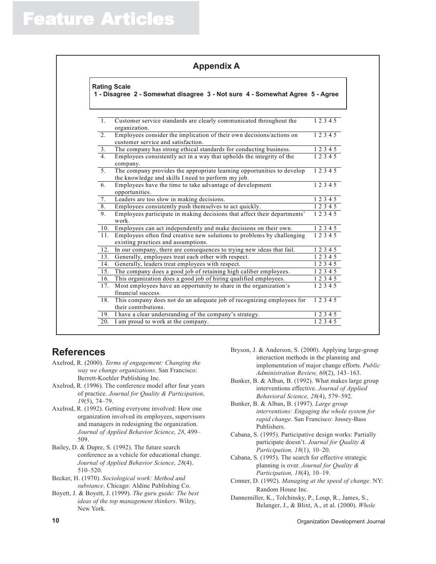| <b>Appendix A</b> |  |  |  |  |
|-------------------|--|--|--|--|
|-------------------|--|--|--|--|

|                | <b>Rating Scale</b><br>1 - Disagree 2 - Somewhat disagree 3 - Not sure 4 - Somewhat Agree 5 - Agree                          |                        |
|----------------|------------------------------------------------------------------------------------------------------------------------------|------------------------|
|                |                                                                                                                              |                        |
| 1.             | Customer service standards are clearly communicated throughout the<br>organization.                                          | 12345                  |
| 2 <sub>1</sub> | Employees consider the implication of their own decisions/actions on<br>customer service and satisfaction.                   | 12345                  |
| 3 <sub>1</sub> | The company has strong ethical standards for conducting business.                                                            | 12345                  |
| 4 <sub>1</sub> | Employees consistently act in a way that upholds the integrity of the<br>company.                                            | 12345                  |
| 5.             | The company provides the appropriate learning opportunities to develop<br>the knowledge and skills I need to perform my job. | 12345                  |
| 6.             | Employees have the time to take advantage of development<br>opportunities.                                                   | 12345                  |
| 7.             | Leaders are too slow in making decisions.                                                                                    | 12345                  |
| 8.             | Employees consistently push themselves to act quickly.                                                                       | 12345                  |
| 9.             | Employees participate in making decisions that affect their departments'<br>work.                                            | 12345                  |
| 10.            | Employees can act independently and make decisions on their own.                                                             | 1 2 3 4 5              |
| 11.            | Employees often find creative new solutions to problems by challenging<br>existing practices and assumptions.                | 12345                  |
| 12.            | In our company, there are consequences to trying new ideas that fail.                                                        | 12345                  |
| 13.            | Generally, employees treat each other with respect.                                                                          | 12345                  |
| 14.            | Generally, leaders treat employees with respect.                                                                             | 12345                  |
| 15.            | The company does a good job of retaining high caliber employees.                                                             | 1 2 3 4 5              |
| 16.            | This organization does a good job of hiring qualified employees.                                                             | 1 2 3 4 5              |
| 17.            | Most employees have an opportunity to share in the organization's<br>financial success.                                      | 12345                  |
| 18.            | This company does not do an adequate job of recognizing employees for<br>their contributions.                                | 1 2 3 4 5              |
| 19.            | I have a clear understanding of the company's strategy.                                                                      | $\overline{1}$ 2 3 4 5 |
|                | 20. I am proud to work at the company.                                                                                       | 12345                  |

#### **References**

- Axelrod, R. (2000). *Terms of engagement: Changing the way we change organizations*. San Francisco: Berrett-Koehler Publishing Inc.
- Axelrod, R. (1996). The conference model after four years of practice. *Journal for Quality & Participation*, *19*(5), 74–79.
- Axelrod, R. (1992). Getting everyone involved: How one organization involved its employees, supervisors and managers in redesigning the organization. *Journal of Applied Behavior Science, 28*, 499– 509.
- Bailey, D. & Dupre, S. (1992). The future search conference as a vehicle for educational change. *Journal of Applied Behavior Science, 28*(4). 510–520.
- Becker, H. (1970). *Sociological work: Method and substance*. Chicago: Aldine Publishing Co.
- Boyett, J. & Boyett, J. (1999). *The guru guide: The best ideas of the top management thinkers*. Wiley, New York.
- Bryson, J. & Anderson, S. (2000). Applying large-group interaction methods in the planning and implementation of major change efforts. *Public Administration Review, 60*(2), 143–163.
- Bunker, B. & Alban, B. (1992). What makes large group interventions effective. *Journal of Applied Behavioral Science, 28*(4), 579–592.
- Bunker, B. & Alban, B. (1997). *Large group interventions: Engaging the whole system for rapid change*. San Francisco: Jossey-Bass Publishers.
- Cabana, S. (1995). Participative design works: Partially participate doesn't. *Journal for Quality & Participation, 18*(1), 10–20.
- Cabana, S. (1995). The search for effective strategic planning is over. *Journal for Quality & Participation, 18*(4), 10–19.
- Conner, D. (1992). *Managing at the speed of change.* NY: Random House Inc.
- Dannemiller, K., Tolchinsky, P., Loup, R., James, S., Belanger, J., & Blixt, A., et al. (2000). *Whole*